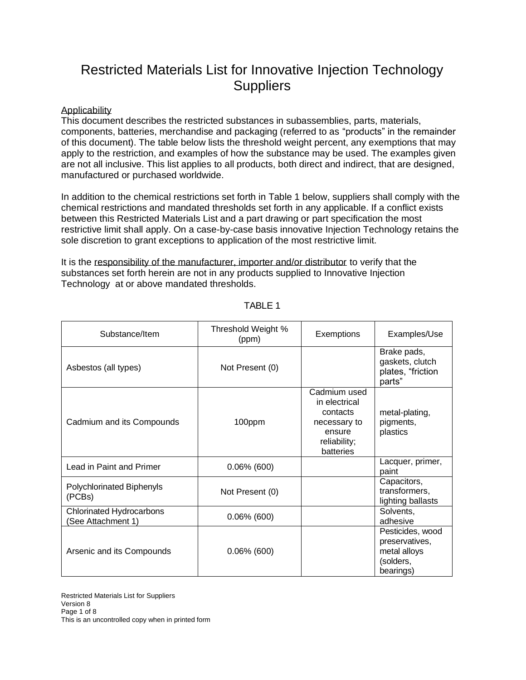## Restricted Materials List for Innovative Injection Technology **Suppliers**

## **Applicability**

This document describes the restricted substances in subassemblies, parts, materials, components, batteries, merchandise and packaging (referred to as "products" in the remainder of this document). The table below lists the threshold weight percent, any exemptions that may apply to the restriction, and examples of how the substance may be used. The examples given are not all inclusive. This list applies to all products, both direct and indirect, that are designed, manufactured or purchased worldwide.

In addition to the chemical restrictions set forth in Table 1 below, suppliers shall comply with the chemical restrictions and mandated thresholds set forth in any applicable. If a conflict exists between this Restricted Materials List and a part drawing or part specification the most restrictive limit shall apply. On a case-by-case basis innovative Injection Technology retains the sole discretion to grant exceptions to application of the most restrictive limit.

It is the responsibility of the manufacturer, importer and/or distributor to verify that the substances set forth herein are not in any products supplied to Innovative Injection Technology at or above mandated thresholds.

| Substance/Item                                        | Threshold Weight %<br>(ppm) | Exemptions                                                                                       | Examples/Use                                                                 |
|-------------------------------------------------------|-----------------------------|--------------------------------------------------------------------------------------------------|------------------------------------------------------------------------------|
| Asbestos (all types)                                  | Not Present (0)             |                                                                                                  | Brake pads,<br>gaskets, clutch<br>plates, "friction<br>parts"                |
| Cadmium and its Compounds                             | 100ppm                      | Cadmium used<br>in electrical<br>contacts<br>necessary to<br>ensure<br>reliability;<br>batteries | metal-plating,<br>pigments,<br>plastics                                      |
| Lead in Paint and Primer                              | $0.06\%$ (600)              |                                                                                                  | Lacquer, primer,<br>paint                                                    |
| Polychlorinated Biphenyls<br>(PCBs)                   | Not Present (0)             |                                                                                                  | Capacitors,<br>transformers,<br>lighting ballasts                            |
| <b>Chlorinated Hydrocarbons</b><br>(See Attachment 1) | $0.06\%$ (600)              |                                                                                                  | Solvents,<br>adhesive                                                        |
| Arsenic and its Compounds                             | $0.06\%$ (600)              |                                                                                                  | Pesticides, wood<br>preservatives,<br>metal alloys<br>(solders,<br>bearings) |

TABLE 1

Restricted Materials List for Suppliers Version 8 Page 1 of 8 This is an uncontrolled copy when in printed form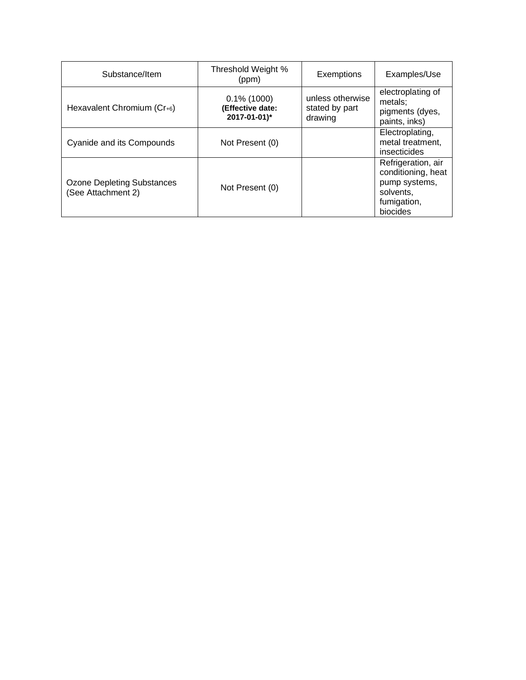| Substance/Item                                          | Threshold Weight %<br>(ppm)                        | Exemptions                                    | Examples/Use                                                                                      |
|---------------------------------------------------------|----------------------------------------------------|-----------------------------------------------|---------------------------------------------------------------------------------------------------|
| Hexavalent Chromium (Cr+6)                              | $0.1\%$ (1000)<br>(Effective date:<br>2017-01-01)* | unless otherwise<br>stated by part<br>drawing | electroplating of<br>metals;<br>pigments (dyes,<br>paints, inks)                                  |
| Cyanide and its Compounds                               | Not Present (0)                                    |                                               | Electroplating,<br>metal treatment,<br>insecticides                                               |
| <b>Ozone Depleting Substances</b><br>(See Attachment 2) | Not Present (0)                                    |                                               | Refrigeration, air<br>conditioning, heat<br>pump systems,<br>solvents.<br>fumigation,<br>biocides |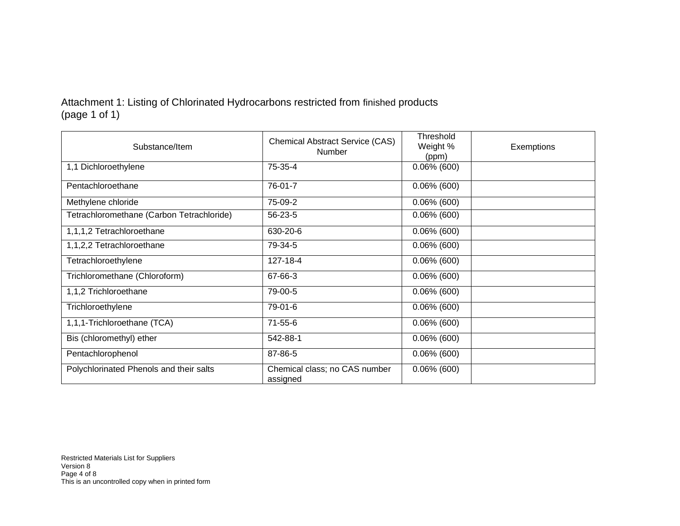Attachment 1: Listing of Chlorinated Hydrocarbons restricted from finished products (page 1 of 1)

| Substance/Item                            | <b>Chemical Abstract Service (CAS)</b><br>Number | Threshold<br>Weight %<br>(ppm) | Exemptions |
|-------------------------------------------|--------------------------------------------------|--------------------------------|------------|
| 1,1 Dichloroethylene                      | 75-35-4                                          | $0.06\%$ (600)                 |            |
| Pentachloroethane                         | 76-01-7                                          | $0.06\%$ (600)                 |            |
| Methylene chloride                        | 75-09-2                                          | $0.06\%$ (600)                 |            |
| Tetrachloromethane (Carbon Tetrachloride) | 56-23-5                                          | $0.06\%$ (600)                 |            |
| 1,1,1,2 Tetrachloroethane                 | 630-20-6                                         | $0.06\%$ (600)                 |            |
| 1,1,2,2 Tetrachloroethane                 | 79-34-5                                          | $0.06\%$ (600)                 |            |
| Tetrachloroethylene                       | 127-18-4                                         | $0.06\%$ (600)                 |            |
| Trichloromethane (Chloroform)             | 67-66-3                                          | $0.06\%$ (600)                 |            |
| 1,1,2 Trichloroethane                     | 79-00-5                                          | $0.06\%$ (600)                 |            |
| Trichloroethylene                         | 79-01-6                                          | $0.06\%$ (600)                 |            |
| 1,1,1-Trichloroethane (TCA)               | $71 - 55 - 6$                                    | $0.06\%$ (600)                 |            |
| Bis (chloromethyl) ether                  | 542-88-1                                         | $0.06\%$ (600)                 |            |
| Pentachlorophenol                         | 87-86-5                                          | $0.06\%$ (600)                 |            |
| Polychlorinated Phenols and their salts   | Chemical class; no CAS number<br>assigned        | $0.06\%$ (600)                 |            |

Restricted Materials List for Suppliers Version 8 Page 4 of 8 This is an uncontrolled copy when in printed form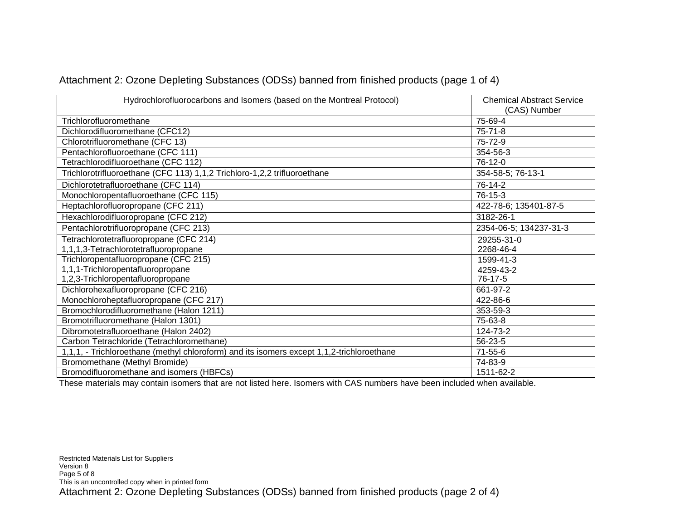| Hydrochlorofluorocarbons and Isomers (based on the Montreal Protocol)                     | <b>Chemical Abstract Service</b><br>(CAS) Number |
|-------------------------------------------------------------------------------------------|--------------------------------------------------|
| Trichlorofluoromethane                                                                    | 75-69-4                                          |
| Dichlorodifluoromethane (CFC12)                                                           | $75 - 71 - 8$                                    |
| Chlorotrifluoromethane (CFC 13)                                                           | 75-72-9                                          |
| Pentachlorofluoroethane (CFC 111)                                                         | 354-56-3                                         |
| Tetrachlorodifluoroethane (CFC 112)                                                       | 76-12-0                                          |
| Trichlorotrifluoroethane (CFC 113) 1,1,2 Trichloro-1,2,2 trifluoroethane                  | 354-58-5; 76-13-1                                |
| Dichlorotetrafluoroethane (CFC 114)                                                       | 76-14-2                                          |
| Monochloropentafluoroethane (CFC 115)                                                     | 76-15-3                                          |
| Heptachlorofluoropropane (CFC 211)                                                        | 422-78-6; 135401-87-5                            |
| Hexachlorodifluoropropane (CFC 212)                                                       | 3182-26-1                                        |
| Pentachlorotrifluoropropane (CFC 213)                                                     | 2354-06-5; 134237-31-3                           |
| Tetrachlorotetrafluoropropane (CFC 214)                                                   | 29255-31-0                                       |
| 1,1,1,3-Tetrachlorotetrafluoropropane                                                     | 2268-46-4                                        |
| Trichloropentafluoropropane (CFC 215)                                                     | 1599-41-3                                        |
| 1,1,1-Trichloropentafluoropropane                                                         | 4259-43-2                                        |
| 1,2,3-Trichloropentafluoropropane                                                         | 76-17-5                                          |
| Dichlorohexafluoropropane (CFC 216)                                                       | 661-97-2                                         |
| Monochloroheptafluoropropane (CFC 217)                                                    | 422-86-6                                         |
| Bromochlorodifluoromethane (Halon 1211)                                                   | 353-59-3                                         |
| Bromotrifluoromethane (Halon 1301)                                                        | 75-63-8                                          |
| Dibromotetrafluoroethane (Halon 2402)                                                     | 124-73-2                                         |
| Carbon Tetrachloride (Tetrachloromethane)                                                 | 56-23-5                                          |
| 1,1,1, - Trichloroethane (methyl chloroform) and its isomers except 1,1,2-trichloroethane | $71 - 55 - 6$                                    |
| Bromomethane (Methyl Bromide)                                                             | 74-83-9                                          |
| Bromodifluoromethane and isomers (HBFCs)                                                  | 1511-62-2                                        |

## Attachment 2: Ozone Depleting Substances (ODSs) banned from finished products (page 1 of 4)

These materials may contain isomers that are not listed here. Isomers with CAS numbers have been included when available.

Restricted Materials List for Suppliers Version 8 Page 5 of 8 This is an uncontrolled copy when in printed form Attachment 2: Ozone Depleting Substances (ODSs) banned from finished products (page 2 of 4)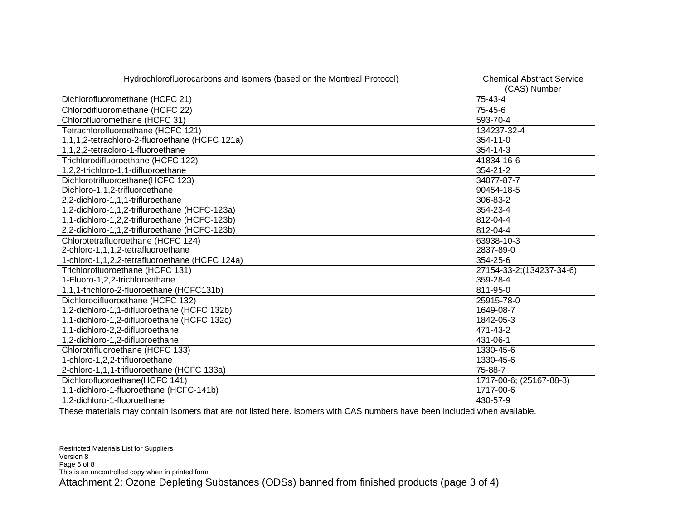| Hydrochlorofluorocarbons and Isomers (based on the Montreal Protocol) | <b>Chemical Abstract Service</b><br>(CAS) Number |
|-----------------------------------------------------------------------|--------------------------------------------------|
| Dichlorofluoromethane (HCFC 21)                                       | 75-43-4                                          |
| Chlorodifluoromethane (HCFC 22)                                       | 75-45-6                                          |
| Chlorofluoromethane (HCFC 31)                                         | 593-70-4                                         |
| Tetrachlorofluoroethane (HCFC 121)                                    | 134237-32-4                                      |
| 1,1,1,2-tetrachloro-2-fluoroethane (HCFC 121a)                        | 354-11-0                                         |
| 1,1,2,2-tetracloro-1-fluoroethane                                     | 354-14-3                                         |
| Trichlorodifluoroethane (HCFC 122)                                    | 41834-16-6                                       |
| 1,2,2-trichloro-1,1-difluoroethane                                    | 354-21-2                                         |
| Dichlorotrifluoroethane(HCFC 123)                                     | 34077-87-7                                       |
| Dichloro-1,1,2-trifluoroethane                                        | 90454-18-5                                       |
| 2,2-dichloro-1,1,1-trifluroethane                                     | 306-83-2                                         |
| 1,2-dichloro-1,1,2-trifluroethane (HCFC-123a)                         | 354-23-4                                         |
| 1,1-dichloro-1,2,2-trifluroethane (HCFC-123b)                         | 812-04-4                                         |
| 2,2-dichloro-1,1,2-trifluroethane (HCFC-123b)                         | 812-04-4                                         |
| Chlorotetrafluoroethane (HCFC 124)                                    | 63938-10-3                                       |
| 2-chloro-1,1,1,2-tetrafluoroethane                                    | 2837-89-0                                        |
| 1-chloro-1,1,2,2-tetrafluoroethane (HCFC 124a)                        | 354-25-6                                         |
| Trichlorofluoroethane (HCFC 131)                                      | 27154-33-2;(134237-34-6)                         |
| 1-Fluoro-1,2,2-trichloroethane                                        | 359-28-4                                         |
| 1,1,1-trichloro-2-fluoroethane (HCFC131b)                             | 811-95-0                                         |
| Dichlorodifluoroethane (HCFC 132)                                     | 25915-78-0                                       |
| 1,2-dichloro-1,1-difluoroethane (HCFC 132b)                           | 1649-08-7                                        |
| 1,1-dichloro-1,2-difluoroethane (HCFC 132c)                           | 1842-05-3                                        |
| 1,1-dichloro-2,2-difluoroethane                                       | 471-43-2                                         |
| 1,2-dichloro-1,2-difluoroethane                                       | 431-06-1                                         |
| Chlorotrifluoroethane (HCFC 133)                                      | 1330-45-6                                        |
| 1-chloro-1,2,2-trifluoroethane                                        | 1330-45-6                                        |
| 2-chloro-1,1,1-trifluoroethane (HCFC 133a)                            | 75-88-7                                          |
| Dichlorofluoroethane(HCFC 141)                                        | 1717-00-6; (25167-88-8)                          |
| 1,1-dichloro-1-fluoroethane (HCFC-141b)                               | 1717-00-6                                        |
| 1,2-dichloro-1-fluoroethane                                           | 430-57-9                                         |

These materials may contain isomers that are not listed here. Isomers with CAS numbers have been included when available.

Restricted Materials List for Suppliers Version 8 Page 6 of 8 This is an uncontrolled copy when in printed form Attachment 2: Ozone Depleting Substances (ODSs) banned from finished products (page 3 of 4)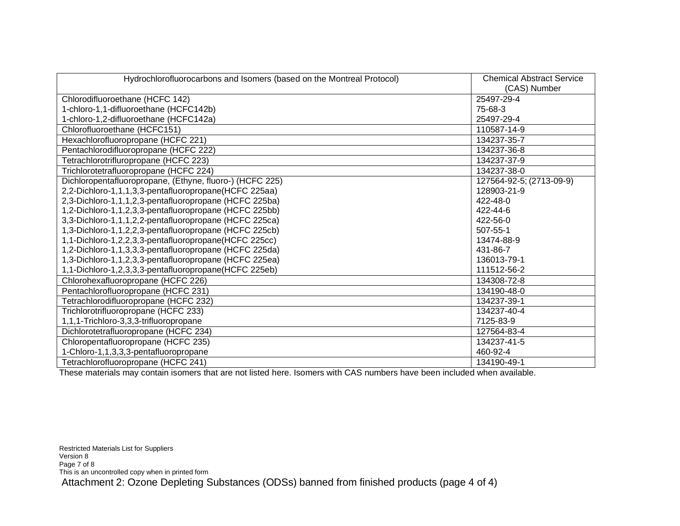| Hydrochlorofluorocarbons and Isomers (based on the Montreal Protocol) | <b>Chemical Abstract Service</b><br>(CAS) Number |
|-----------------------------------------------------------------------|--------------------------------------------------|
| Chlorodifluoroethane (HCFC 142)                                       | 25497-29-4                                       |
| 1-chloro-1,1-difluoroethane (HCFC142b)                                | 75-68-3                                          |
| 1-chloro-1,2-difluoroethane (HCFC142a)                                | 25497-29-4                                       |
| Chlorofluoroethane (HCFC151)                                          | 110587-14-9                                      |
| Hexachlorofluoropropane (HCFC 221)                                    | 134237-35-7                                      |
| Pentachlorodifluoropropane (HCFC 222)                                 | 134237-36-8                                      |
| Tetrachlorotrifluropropane (HCFC 223)                                 | 134237-37-9                                      |
| Trichlorotetrafluoropropane (HCFC 224)                                | 134237-38-0                                      |
| Dichloropentafluoropropane, (Ethyne, fluoro-) (HCFC 225)              | 127564-92-5; (2713-09-9)                         |
| 2,2-Dichloro-1,1,1,3,3-pentafluoropropane(HCFC 225aa)                 | 128903-21-9                                      |
| 2,3-Dichloro-1,1,1,2,3-pentafluoropropane (HCFC 225ba)                | 422-48-0                                         |
| 1,2-Dichloro-1,1,2,3,3-pentafluoropropane (HCFC 225bb)                | 422-44-6                                         |
| 3,3-Dichloro-1,1,1,2,2-pentafluoropropane (HCFC 225ca)                | 422-56-0                                         |
| 1,3-Dichloro-1,1,2,2,3-pentafluoropropane (HCFC 225cb)                | 507-55-1                                         |
| 1,1-Dichloro-1,2,2,3,3-pentafluoropropane(HCFC 225cc)                 | 13474-88-9                                       |
| 1,2-Dichloro-1,1,3,3,3-pentafluoropropane (HCFC 225da)                | 431-86-7                                         |
| 1,3-Dichloro-1,1,2,3,3-pentafluoropropane (HCFC 225ea)                | 136013-79-1                                      |
| 1,1-Dichloro-1,2,3,3,3-pentafluoropropane(HCFC 225eb)                 | 111512-56-2                                      |
| Chlorohexafluoropropane (HCFC 226)                                    | 134308-72-8                                      |
| Pentachlorofluoropropane (HCFC 231)                                   | 134190-48-0                                      |
| Tetrachlorodifluoropropane (HCFC 232)                                 | 134237-39-1                                      |
| Trichlorotrifluoropropane (HCFC 233)                                  | 134237-40-4                                      |
| 1,1,1-Trichloro-3,3,3-trifluoropropane                                | 7125-83-9                                        |
| Dichlorotetrafluoropropane (HCFC 234)                                 | 127564-83-4                                      |
| Chloropentafluoropropane (HCFC 235)                                   | 134237-41-5                                      |
| 1-Chloro-1,1,3,3,3-pentafluoropropane                                 | 460-92-4                                         |
| Tetrachlorofluoropropane (HCFC 241)                                   | 134190-49-1                                      |

These materials may contain isomers that are not listed here. Isomers with CAS numbers have been included when available.

Restricted Materials List for Suppliers Version 8 Page 7 of 8 This is an uncontrolled copy when in printed form Attachment 2: Ozone Depleting Substances (ODSs) banned from finished products (page 4 of 4)